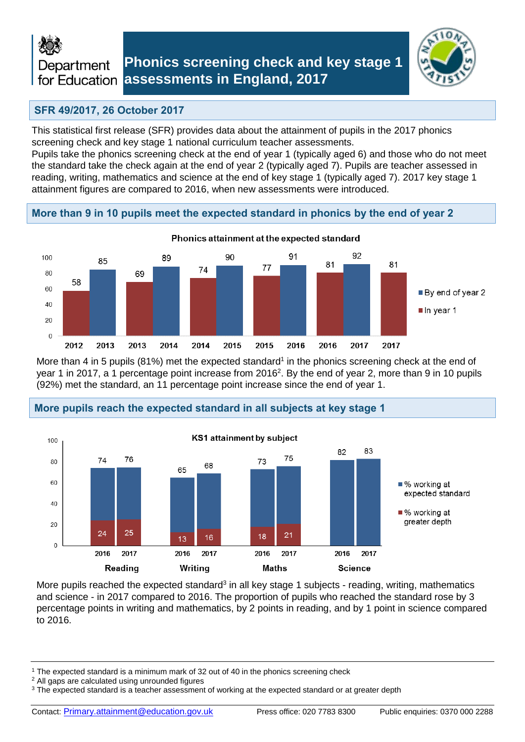

# **Phonics screening check and key stage 1 assessments in England, 2017**



## **SFR 49/2017, 26 October 2017**

This statistical first release (SFR) provides data about the attainment of pupils in the 2017 phonics screening check and key stage 1 national curriculum teacher assessments.

Pupils take the phonics screening check at the end of year 1 (typically aged 6) and those who do not meet the standard take the check again at the end of year 2 (typically aged 7). Pupils are teacher assessed in reading, writing, mathematics and science at the end of key stage 1 (typically aged 7). 2017 key stage 1 attainment figures are compared to 2016, when new assessments were introduced.

## **More than 9 in 10 pupils meet the expected standard in phonics by the end of year 2**



More than 4 in 5 pupils (81%) met the expected standard<sup>1</sup> in the phonics screening check at the end of year 1 in 2017, a 1 percentage point increase from 2016<sup>2</sup>. By the end of year 2, more than 9 in 10 pupils (92%) met the standard, an 11 percentage point increase since the end of year 1.



### **More pupils reach the expected standard in all subjects at key stage 1**

More pupils reached the expected standard<sup>3</sup> in all key stage 1 subjects - reading, writing, mathematics and science - in 2017 compared to 2016. The proportion of pupils who reached the standard rose by 3 percentage points in writing and mathematics, by 2 points in reading, and by 1 point in science compared to 2016.

<sup>1</sup> The expected standard is a minimum mark of 32 out of 40 in the phonics screening check

<sup>2</sup> All gaps are calculated using unrounded figures

<sup>&</sup>lt;sup>3</sup> The expected standard is a teacher assessment of working at the expected standard or at greater depth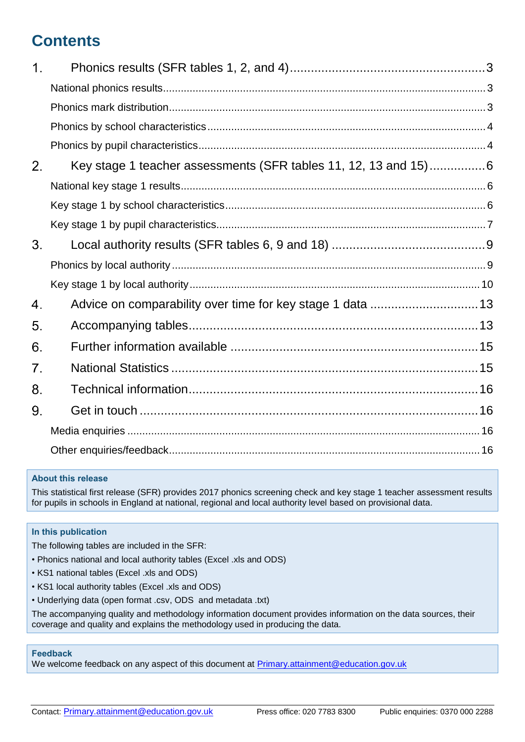# **Contents**

| $\mathbf 1$ .  |                                                                 |
|----------------|-----------------------------------------------------------------|
|                |                                                                 |
|                |                                                                 |
|                |                                                                 |
|                |                                                                 |
| 2 <sub>1</sub> | Key stage 1 teacher assessments (SFR tables 11, 12, 13 and 15)6 |
|                |                                                                 |
|                |                                                                 |
|                |                                                                 |
| 3.             |                                                                 |
|                |                                                                 |
|                |                                                                 |
| 4.             |                                                                 |
| 5.             |                                                                 |
| 6.             |                                                                 |
| 7.             |                                                                 |
| 8.             |                                                                 |
| 9.             |                                                                 |
|                |                                                                 |
|                |                                                                 |
|                |                                                                 |

### **About this release**

This statistical first release (SFR) provides 2017 phonics screening check and key stage 1 teacher assessment results for pupils in schools in England at national, regional and local authority level based on provisional data.

### **In this publication**

The following tables are included in the SFR:

- Phonics national and local authority tables (Excel .xls and ODS)
- KS1 national tables (Excel .xls and ODS)
- KS1 local authority tables (Excel .xls and ODS)
- Underlying data (open format .csv, ODS and metadata .txt)

The accompanying quality and methodology information document provides information on the data sources, their coverage and quality and explains the methodology used in producing the data.

### **Feedback**

We welcome feedback on any aspect of this document at [Primary.attainment@education.gov.uk](mailto:Primary.attainment@education.gov.uk)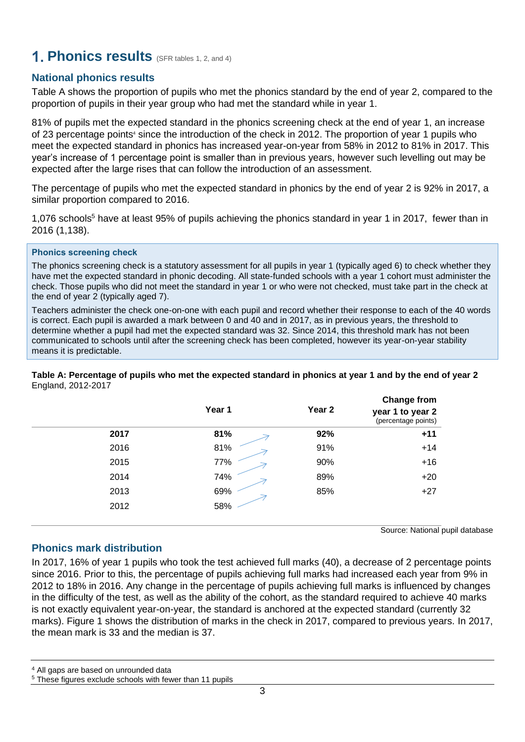# <span id="page-2-0"></span>**1. Phonics results** (SFR tables 1, 2, and 4)

## <span id="page-2-1"></span>**National phonics results**

Table A shows the proportion of pupils who met the phonics standard by the end of year 2, compared to the proportion of pupils in their year group who had met the standard while in year 1.

81% of pupils met the expected standard in the phonics screening check at the end of year 1, an increase of 23 percentage points<sup>4</sup> since the introduction of the check in 2012. The proportion of year 1 pupils who meet the expected standard in phonics has increased year-on-year from 58% in 2012 to 81% in 2017. This year's increase of 1 percentage point is smaller than in previous years, however such levelling out may be expected after the large rises that can follow the introduction of an assessment.

The percentage of pupils who met the expected standard in phonics by the end of year 2 is 92% in 2017, a similar proportion compared to 2016.

1,076 schools<sup>5</sup> have at least 95% of pupils achieving the phonics standard in year 1 in 2017, fewer than in 2016 (1,138).

### **Phonics screening check**

The phonics screening check is a statutory assessment for all pupils in year 1 (typically aged 6) to check whether they have met the expected standard in phonic decoding. All state-funded schools with a year 1 cohort must administer the check. Those pupils who did not meet the standard in year 1 or who were not checked, must take part in the check at the end of year 2 (typically aged 7).

Teachers administer the check one-on-one with each pupil and record whether their response to each of the 40 words is correct. Each pupil is awarded a mark between 0 and 40 and in 2017, as in previous years, the threshold to determine whether a pupil had met the expected standard was 32. Since 2014, this threshold mark has not been communicated to schools until after the screening check has been completed, however its year-on-year stability means it is predictable.

**Table A: Percentage of pupils who met the expected standard in phonics at year 1 and by the end of year 2** England, 2012-2017

|      | Year 1 | Year 2 | <b>Change from</b><br>year 1 to year 2<br>(percentage points) |
|------|--------|--------|---------------------------------------------------------------|
| 2017 | 81%    | 92%    | $+11$                                                         |
| 2016 | 81%    | 91%    | $+14$                                                         |
| 2015 | 77%    | 90%    | $+16$                                                         |
| 2014 | 74%    | 89%    | $+20$                                                         |
| 2013 | 69%    | 85%    | $+27$                                                         |
| 2012 | 58%    |        |                                                               |

Source: National pupil database

### <span id="page-2-2"></span>**Phonics mark distribution**

In 2017, 16% of year 1 pupils who took the test achieved full marks (40), a decrease of 2 percentage points since 2016. Prior to this, the percentage of pupils achieving full marks had increased each year from 9% in 2012 to 18% in 2016. Any change in the percentage of pupils achieving full marks is influenced by changes in the difficulty of the test, as well as the ability of the cohort, as the standard required to achieve 40 marks is not exactly equivalent year-on-year, the standard is anchored at the expected standard (currently 32 marks). Figure 1 shows the distribution of marks in the check in 2017, compared to previous years. In 2017, the mean mark is 33 and the median is 37.

<sup>4</sup> All gaps are based on unrounded data

<sup>5</sup> These figures exclude schools with fewer than 11 pupils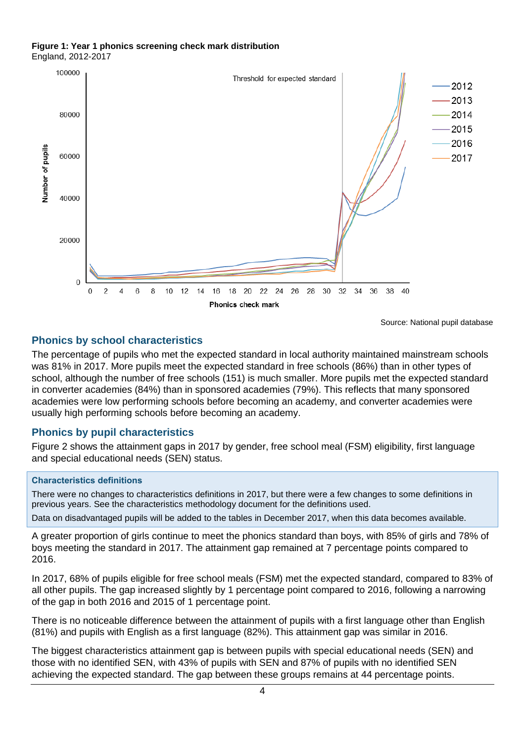#### **Figure 1: Year 1 phonics screening check mark distribution** England, 2012-2017



<span id="page-3-1"></span>Source: National pupil database

## <span id="page-3-0"></span>**Phonics by school characteristics**

The percentage of pupils who met the expected standard in local authority maintained mainstream schools was 81% in 2017. More pupils meet the expected standard in free schools (86%) than in other types of school, although the number of free schools (151) is much smaller. More pupils met the expected standard in converter academies (84%) than in sponsored academies (79%). This reflects that many sponsored academies were low performing schools before becoming an academy, and converter academies were usually high performing schools before becoming an academy.

## **Phonics by pupil characteristics**

Figure 2 shows the attainment gaps in 2017 by gender, free school meal (FSM) eligibility, first language and special educational needs (SEN) status.

### **Characteristics definitions**

There were no changes to characteristics definitions in 2017, but there were a few changes to some definitions in previous years. See the characteristics methodology document for the definitions used.

Data on disadvantaged pupils will be added to the tables in December 2017, when this data becomes available.

A greater proportion of girls continue to meet the phonics standard than boys, with 85% of girls and 78% of boys meeting the standard in 2017. The attainment gap remained at 7 percentage points compared to 2016.

In 2017, 68% of pupils eligible for free school meals (FSM) met the expected standard, compared to 83% of all other pupils. The gap increased slightly by 1 percentage point compared to 2016, following a narrowing of the gap in both 2016 and 2015 of 1 percentage point.

There is no noticeable difference between the attainment of pupils with a first language other than English (81%) and pupils with English as a first language (82%). This attainment gap was similar in 2016.

The biggest characteristics attainment gap is between pupils with special educational needs (SEN) and those with no identified SEN, with 43% of pupils with SEN and 87% of pupils with no identified SEN achieving the expected standard. The gap between these groups remains at 44 percentage points.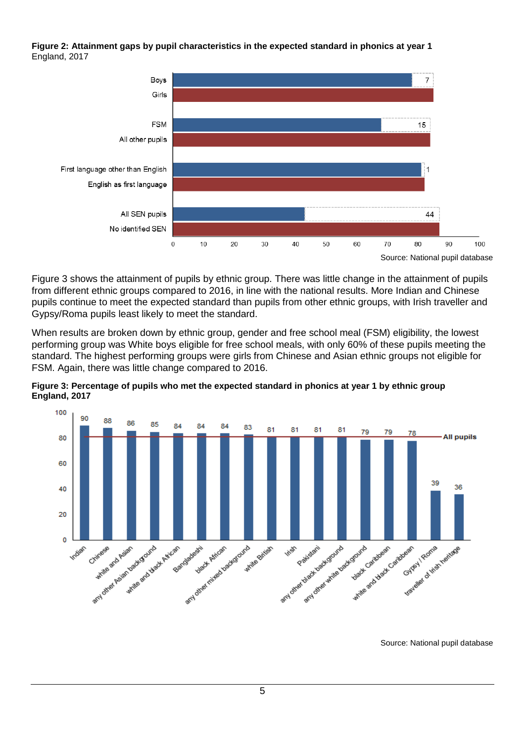**Figure 2: Attainment gaps by pupil characteristics in the expected standard in phonics at year 1**  England, 2017



Figure 3 shows the attainment of pupils by ethnic group. There was little change in the attainment of pupils from different ethnic groups compared to 2016, in line with the national results. More Indian and Chinese pupils continue to meet the expected standard than pupils from other ethnic groups, with Irish traveller and Gypsy/Roma pupils least likely to meet the standard.

When results are broken down by ethnic group, gender and free school meal (FSM) eligibility, the lowest performing group was White boys eligible for free school meals, with only 60% of these pupils meeting the standard. The highest performing groups were girls from Chinese and Asian ethnic groups not eligible for FSM. Again, there was little change compared to 2016.

**Figure 3: Percentage of pupils who met the expected standard in phonics at year 1 by ethnic group England, 2017**



Source: National pupil database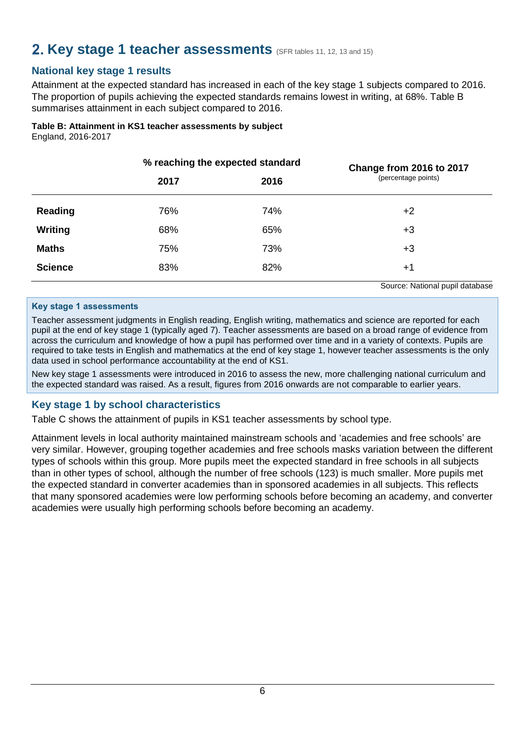# <span id="page-5-0"></span>**2. Key stage 1 teacher assessments** (SFR tables 11, 12, 13 and 15)

## <span id="page-5-1"></span>**National key stage 1 results**

Attainment at the expected standard has increased in each of the key stage 1 subjects compared to 2016. The proportion of pupils achieving the expected standards remains lowest in writing, at 68%. Table B summarises attainment in each subject compared to 2016.

# **Table B: Attainment in KS1 teacher assessments by subject**

England, 2016-2017

|                |      | % reaching the expected standard | Change from 2016 to 2017        |
|----------------|------|----------------------------------|---------------------------------|
|                | 2017 | 2016                             | (percentage points)             |
| Reading        | 76%  | 74%                              | $+2$                            |
| Writing        | 68%  | 65%                              | $+3$                            |
| <b>Maths</b>   | 75%  | 73%                              | $+3$                            |
| <b>Science</b> | 83%  | 82%                              | $+1$                            |
|                |      |                                  | Source: National pupil database |

### **Key stage 1 assessments**

Teacher assessment judgments in English reading, English writing, mathematics and science are reported for each pupil at the end of key stage 1 (typically aged 7). Teacher assessments are based on a broad range of evidence from across the curriculum and knowledge of how a pupil has performed over time and in a variety of contexts. Pupils are required to take tests in English and mathematics at the end of key stage 1, however teacher assessments is the only data used in school performance accountability at the end of KS1.

New key stage 1 assessments were introduced in 2016 to assess the new, more challenging national curriculum and the expected standard was raised. As a result, figures from 2016 onwards are not comparable to earlier years.

## <span id="page-5-2"></span>**Key stage 1 by school characteristics**

Table C shows the attainment of pupils in KS1 teacher assessments by school type.

Attainment levels in local authority maintained mainstream schools and 'academies and free schools' are very similar. However, grouping together academies and free schools masks variation between the different types of schools within this group. More pupils meet the expected standard in free schools in all subjects than in other types of school, although the number of free schools (123) is much smaller. More pupils met the expected standard in converter academies than in sponsored academies in all subjects. This reflects that many sponsored academies were low performing schools before becoming an academy, and converter academies were usually high performing schools before becoming an academy.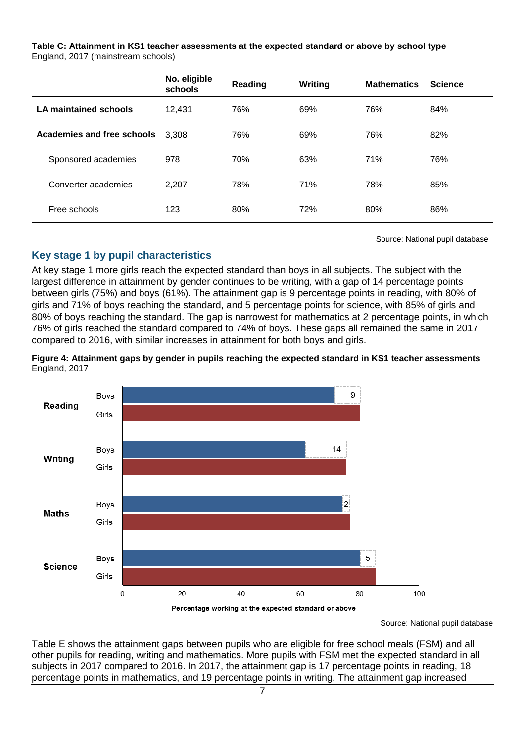**Table C: Attainment in KS1 teacher assessments at the expected standard or above by school type** England, 2017 (mainstream schools)

|                                   | No. eligible<br>schools | Reading | Writing | <b>Mathematics</b> | <b>Science</b> |
|-----------------------------------|-------------------------|---------|---------|--------------------|----------------|
| LA maintained schools             | 12,431                  | 76%     | 69%     | 76%                | 84%            |
| <b>Academies and free schools</b> | 3.308                   | 76%     | 69%     | 76%                | 82%            |
| Sponsored academies               | 978                     | 70%     | 63%     | 71%                | 76%            |
| Converter academies               | 2,207                   | 78%     | 71%     | 78%                | 85%            |
| Free schools                      | 123                     | 80%     | 72%     | 80%                | 86%            |

Source: National pupil database

## <span id="page-6-0"></span>**Key stage 1 by pupil characteristics**

At key stage 1 more girls reach the expected standard than boys in all subjects. The subject with the largest difference in attainment by gender continues to be writing, with a gap of 14 percentage points between girls (75%) and boys (61%). The attainment gap is 9 percentage points in reading, with 80% of girls and 71% of boys reaching the standard, and 5 percentage points for science, with 85% of girls and 80% of boys reaching the standard. The gap is narrowest for mathematics at 2 percentage points, in which 76% of girls reached the standard compared to 74% of boys. These gaps all remained the same in 2017 compared to 2016, with similar increases in attainment for both boys and girls.





Source: National pupil database

Table E shows the attainment gaps between pupils who are eligible for free school meals (FSM) and all other pupils for reading, writing and mathematics. More pupils with FSM met the expected standard in all subjects in 2017 compared to 2016. In 2017, the attainment gap is 17 percentage points in reading, 18 percentage points in mathematics, and 19 percentage points in writing. The attainment gap increased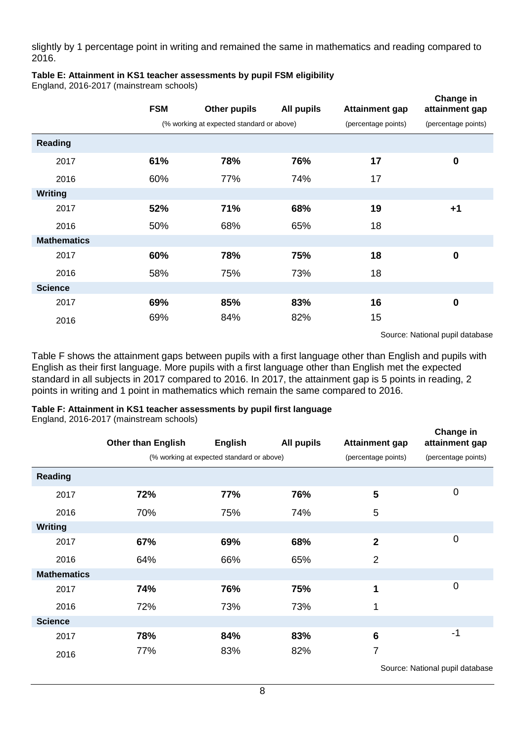slightly by 1 percentage point in writing and remained the same in mathematics and reading compared to 2016.

## **Table E: Attainment in KS1 teacher assessments by pupil FSM eligibility**

England, 2016-2017 (mainstream schools)

|                    | <b>FSM</b> | <b>Other pupils</b>                       | <b>All pupils</b> | <b>Attainment gap</b> | Change in<br>attainment gap |
|--------------------|------------|-------------------------------------------|-------------------|-----------------------|-----------------------------|
|                    |            | (% working at expected standard or above) |                   | (percentage points)   | (percentage points)         |
| <b>Reading</b>     |            |                                           |                   |                       |                             |
| 2017               | 61%        | 78%                                       | 76%               | 17                    | $\bf{0}$                    |
| 2016               | 60%        | 77%                                       | 74%               | 17                    |                             |
| Writing            |            |                                           |                   |                       |                             |
| 2017               | 52%        | 71%                                       | 68%               | 19                    | $+1$                        |
| 2016               | 50%        | 68%                                       | 65%               | 18                    |                             |
| <b>Mathematics</b> |            |                                           |                   |                       |                             |
| 2017               | 60%        | 78%                                       | 75%               | 18                    | $\bf{0}$                    |
| 2016               | 58%        | 75%                                       | 73%               | 18                    |                             |
| <b>Science</b>     |            |                                           |                   |                       |                             |
| 2017               | 69%        | 85%                                       | 83%               | 16                    | $\bf{0}$                    |
| 2016               | 69%        | 84%                                       | 82%               | 15                    |                             |

Source: National pupil database

Table F shows the attainment gaps between pupils with a first language other than English and pupils with English as their first language. More pupils with a first language other than English met the expected standard in all subjects in 2017 compared to 2016. In 2017, the attainment gap is 5 points in reading, 2 points in writing and 1 point in mathematics which remain the same compared to 2016.

### **Table F: Attainment in KS1 teacher assessments by pupil first language**

England, 2016-2017 (mainstream schools)

|                    | <b>Other than English</b> | <b>English</b>                            | All pupils | <b>Attainment gap</b> | Change in<br>attainment gap |
|--------------------|---------------------------|-------------------------------------------|------------|-----------------------|-----------------------------|
|                    |                           | (% working at expected standard or above) |            | (percentage points)   | (percentage points)         |
| Reading            |                           |                                           |            |                       |                             |
| 2017               | 72%                       | 77%                                       | 76%        | 5                     | $\mathbf 0$                 |
| 2016               | 70%                       | 75%                                       | 74%        | 5                     |                             |
| <b>Writing</b>     |                           |                                           |            |                       |                             |
| 2017               | 67%                       | 69%                                       | 68%        | $\overline{2}$        | 0                           |
| 2016               | 64%                       | 66%                                       | 65%        | $\overline{2}$        |                             |
| <b>Mathematics</b> |                           |                                           |            |                       |                             |
| 2017               | 74%                       | 76%                                       | 75%        | 1                     | 0                           |
| 2016               | 72%                       | 73%                                       | 73%        | 1                     |                             |
| <b>Science</b>     |                           |                                           |            |                       |                             |
| 2017               | 78%                       | 84%                                       | 83%        | $6\phantom{1}6$       | -1                          |
| 2016               | 77%                       | 83%                                       | 82%        | $\overline{7}$        |                             |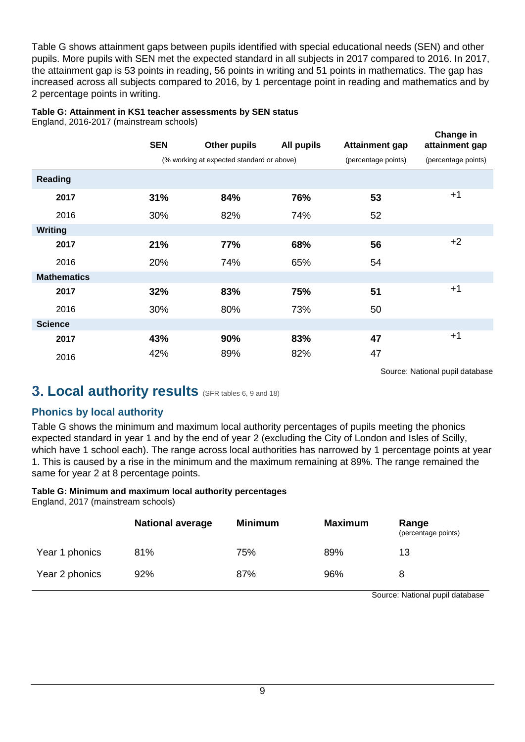Table G shows attainment gaps between pupils identified with special educational needs (SEN) and other pupils. More pupils with SEN met the expected standard in all subjects in 2017 compared to 2016. In 2017, the attainment gap is 53 points in reading, 56 points in writing and 51 points in mathematics. The gap has increased across all subjects compared to 2016, by 1 percentage point in reading and mathematics and by 2 percentage points in writing.

### **Table G: Attainment in KS1 teacher assessments by SEN status**

England, 2016-2017 (mainstream schools)

|                    | <b>SEN</b> | <b>Other pupils</b>                       | All pupils | <b>Attainment gap</b> | Change in<br>attainment gap |
|--------------------|------------|-------------------------------------------|------------|-----------------------|-----------------------------|
|                    |            | (% working at expected standard or above) |            | (percentage points)   | (percentage points)         |
| Reading            |            |                                           |            |                       |                             |
| 2017               | 31%        | 84%                                       | 76%        | 53                    | $+1$                        |
| 2016               | 30%        | 82%                                       | 74%        | 52                    |                             |
| <b>Writing</b>     |            |                                           |            |                       |                             |
| 2017               | 21%        | 77%                                       | 68%        | 56                    | $+2$                        |
| 2016               | 20%        | 74%                                       | 65%        | 54                    |                             |
| <b>Mathematics</b> |            |                                           |            |                       |                             |
| 2017               | 32%        | 83%                                       | 75%        | 51                    | $+1$                        |
| 2016               | 30%        | 80%                                       | 73%        | 50                    |                             |
| <b>Science</b>     |            |                                           |            |                       |                             |
| 2017               | 43%        | 90%                                       | 83%        | 47                    | $+1$                        |
| 2016               | 42%        | 89%                                       | 82%        | 47                    |                             |

Source: National pupil database

## <span id="page-8-0"></span>**3. Local authority results** (SFR tables 6, 9 and 18)

## <span id="page-8-1"></span>**Phonics by local authority**

Table G shows the minimum and maximum local authority percentages of pupils meeting the phonics expected standard in year 1 and by the end of year 2 (excluding the City of London and Isles of Scilly, which have 1 school each). The range across local authorities has narrowed by 1 percentage points at year 1. This is caused by a rise in the minimum and the maximum remaining at 89%. The range remained the same for year 2 at 8 percentage points.

### **Table G: Minimum and maximum local authority percentages**

England, 2017 (mainstream schools)

|                | <b>National average</b> | <b>Minimum</b> | <b>Maximum</b> | Range<br>(percentage points) |
|----------------|-------------------------|----------------|----------------|------------------------------|
| Year 1 phonics | 81%                     | 75%            | 89%            | 13                           |
| Year 2 phonics | 92%                     | 87%            | 96%            |                              |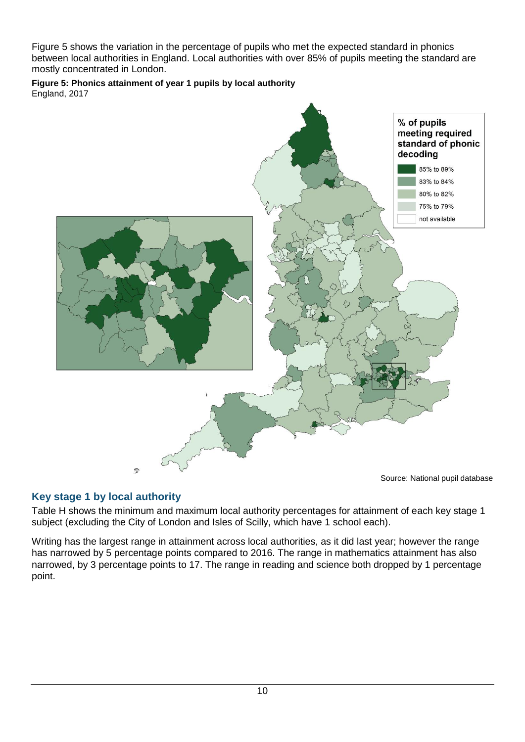Figure 5 shows the variation in the percentage of pupils who met the expected standard in phonics between local authorities in England. Local authorities with over 85% of pupils meeting the standard are mostly concentrated in London.

**Figure 5: Phonics attainment of year 1 pupils by local authority** England, 2017



## <span id="page-9-0"></span>**Key stage 1 by local authority**

Table H shows the minimum and maximum local authority percentages for attainment of each key stage 1 subject (excluding the City of London and Isles of Scilly, which have 1 school each).

Writing has the largest range in attainment across local authorities, as it did last year; however the range has narrowed by 5 percentage points compared to 2016. The range in mathematics attainment has also narrowed, by 3 percentage points to 17. The range in reading and science both dropped by 1 percentage point.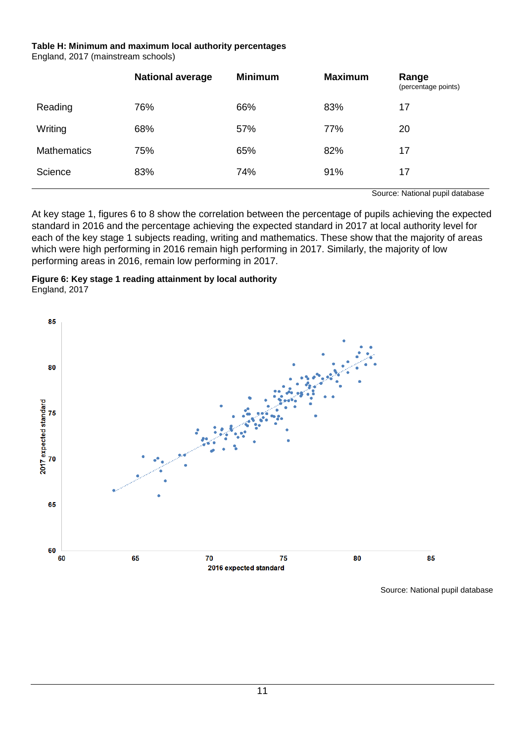#### **Table H: Minimum and maximum local authority percentages** England, 2017 (mainstream schools)

|                    | <b>National average</b> | <b>Minimum</b> | <b>Maximum</b> | Range<br>(percentage points) |
|--------------------|-------------------------|----------------|----------------|------------------------------|
| Reading            | 76%                     | 66%            | 83%            | 17                           |
| Writing            | 68%                     | 57%            | 77%            | 20                           |
| <b>Mathematics</b> | 75%                     | 65%            | 82%            | 17                           |
| Science            | 83%                     | 74%            | 91%            | 17                           |

Source: National pupil database

At key stage 1, figures 6 to 8 show the correlation between the percentage of pupils achieving the expected standard in 2016 and the percentage achieving the expected standard in 2017 at local authority level for each of the key stage 1 subjects reading, writing and mathematics. These show that the majority of areas which were high performing in 2016 remain high performing in 2017. Similarly, the majority of low performing areas in 2016, remain low performing in 2017.



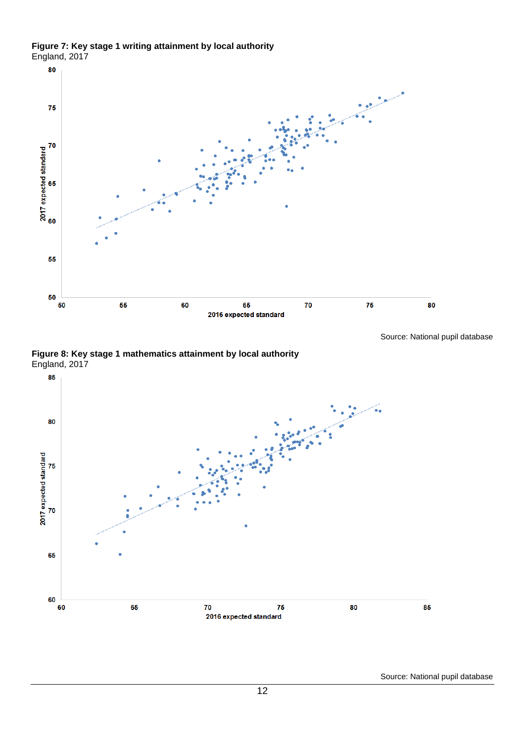**Figure 7: Key stage 1 writing attainment by local authority** England, 2017





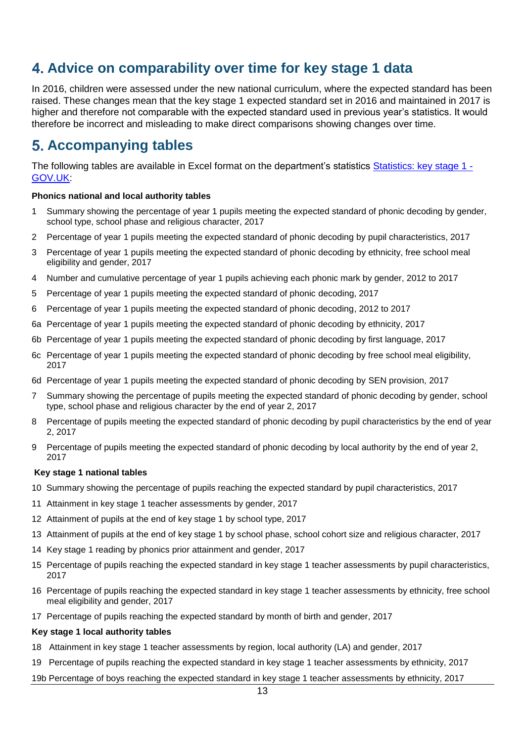# <span id="page-12-0"></span>**Advice on comparability over time for key stage 1 data**

In 2016, children were assessed under the new national curriculum, where the expected standard has been raised. These changes mean that the key stage 1 expected standard set in 2016 and maintained in 2017 is higher and therefore not comparable with the expected standard used in previous year's statistics. It would therefore be incorrect and misleading to make direct comparisons showing changes over time.

# <span id="page-12-1"></span>**Accompanying tables**

The following tables are available in Excel format on the department's statistics [Statistics: key stage 1 -](https://www.gov.uk/government/collections/statistics-key-stage-1) [GOV.UK:](https://www.gov.uk/government/collections/statistics-key-stage-1)

### **Phonics national and local authority tables**

- 1 Summary showing the percentage of year 1 pupils meeting the expected standard of phonic decoding by gender, school type, school phase and religious character, 2017
- 2 Percentage of year 1 pupils meeting the expected standard of phonic decoding by pupil characteristics, 2017
- 3 Percentage of year 1 pupils meeting the expected standard of phonic decoding by ethnicity, free school meal eligibility and gender, 2017
- 4 Number and cumulative percentage of year 1 pupils achieving each phonic mark by gender, 2012 to 2017
- 5 Percentage of year 1 pupils meeting the expected standard of phonic decoding, 2017
- 6 Percentage of year 1 pupils meeting the expected standard of phonic decoding, 2012 to 2017
- 6a Percentage of year 1 pupils meeting the expected standard of phonic decoding by ethnicity, 2017
- 6b Percentage of year 1 pupils meeting the expected standard of phonic decoding by first language, 2017
- 6c Percentage of year 1 pupils meeting the expected standard of phonic decoding by free school meal eligibility, 2017
- 6d Percentage of year 1 pupils meeting the expected standard of phonic decoding by SEN provision, 2017
- 7 Summary showing the percentage of pupils meeting the expected standard of phonic decoding by gender, school type, school phase and religious character by the end of year 2, 2017
- 8 Percentage of pupils meeting the expected standard of phonic decoding by pupil characteristics by the end of year 2, 2017
- 9 Percentage of pupils meeting the expected standard of phonic decoding by local authority by the end of year 2, 2017

### **Key stage 1 national tables**

- 10 Summary showing the percentage of pupils reaching the expected standard by pupil characteristics, 2017
- 11 Attainment in key stage 1 teacher assessments by gender, 2017
- 12 Attainment of pupils at the end of key stage 1 by school type, 2017
- 13 Attainment of pupils at the end of key stage 1 by school phase, school cohort size and religious character, 2017
- 14 Key stage 1 reading by phonics prior attainment and gender, 2017
- 15 Percentage of pupils reaching the expected standard in key stage 1 teacher assessments by pupil characteristics, 2017
- 16 Percentage of pupils reaching the expected standard in key stage 1 teacher assessments by ethnicity, free school meal eligibility and gender, 2017
- 17 Percentage of pupils reaching the expected standard by month of birth and gender, 2017

### **Key stage 1 local authority tables**

- 18 Attainment in key stage 1 teacher assessments by region, local authority (LA) and gender, 2017
- 19 Percentage of pupils reaching the expected standard in key stage 1 teacher assessments by ethnicity, 2017
- 19b Percentage of boys reaching the expected standard in key stage 1 teacher assessments by ethnicity, 2017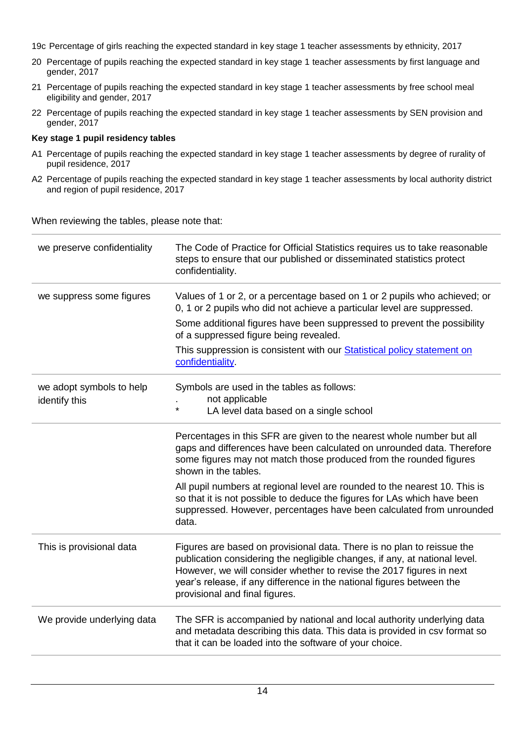- 19c Percentage of girls reaching the expected standard in key stage 1 teacher assessments by ethnicity, 2017
- 20 Percentage of pupils reaching the expected standard in key stage 1 teacher assessments by first language and gender, 2017
- 21 Percentage of pupils reaching the expected standard in key stage 1 teacher assessments by free school meal eligibility and gender, 2017
- 22 Percentage of pupils reaching the expected standard in key stage 1 teacher assessments by SEN provision and gender, 2017

### **Key stage 1 pupil residency tables**

- A1 Percentage of pupils reaching the expected standard in key stage 1 teacher assessments by degree of rurality of pupil residence, 2017
- A2 Percentage of pupils reaching the expected standard in key stage 1 teacher assessments by local authority district and region of pupil residence, 2017

When reviewing the tables, please note that:

| we preserve confidentiality | The Code of Practice for Official Statistics requires us to take reasonable<br>steps to ensure that our published or disseminated statistics protect<br>confidentiality.                                                                                                                                                                |
|-----------------------------|-----------------------------------------------------------------------------------------------------------------------------------------------------------------------------------------------------------------------------------------------------------------------------------------------------------------------------------------|
| we suppress some figures    | Values of 1 or 2, or a percentage based on 1 or 2 pupils who achieved; or<br>0, 1 or 2 pupils who did not achieve a particular level are suppressed.                                                                                                                                                                                    |
|                             | Some additional figures have been suppressed to prevent the possibility<br>of a suppressed figure being revealed.                                                                                                                                                                                                                       |
|                             | This suppression is consistent with our <b>Statistical policy statement on</b><br>confidentiality.                                                                                                                                                                                                                                      |
| we adopt symbols to help    | Symbols are used in the tables as follows:<br>not applicable                                                                                                                                                                                                                                                                            |
| identify this               | $\star$<br>LA level data based on a single school                                                                                                                                                                                                                                                                                       |
|                             | Percentages in this SFR are given to the nearest whole number but all<br>gaps and differences have been calculated on unrounded data. Therefore<br>some figures may not match those produced from the rounded figures<br>shown in the tables.                                                                                           |
|                             | All pupil numbers at regional level are rounded to the nearest 10. This is<br>so that it is not possible to deduce the figures for LAs which have been<br>suppressed. However, percentages have been calculated from unrounded<br>data.                                                                                                 |
| This is provisional data    | Figures are based on provisional data. There is no plan to reissue the<br>publication considering the negligible changes, if any, at national level.<br>However, we will consider whether to revise the 2017 figures in next<br>year's release, if any difference in the national figures between the<br>provisional and final figures. |
| We provide underlying data  | The SFR is accompanied by national and local authority underlying data<br>and metadata describing this data. This data is provided in csv format so<br>that it can be loaded into the software of your choice.                                                                                                                          |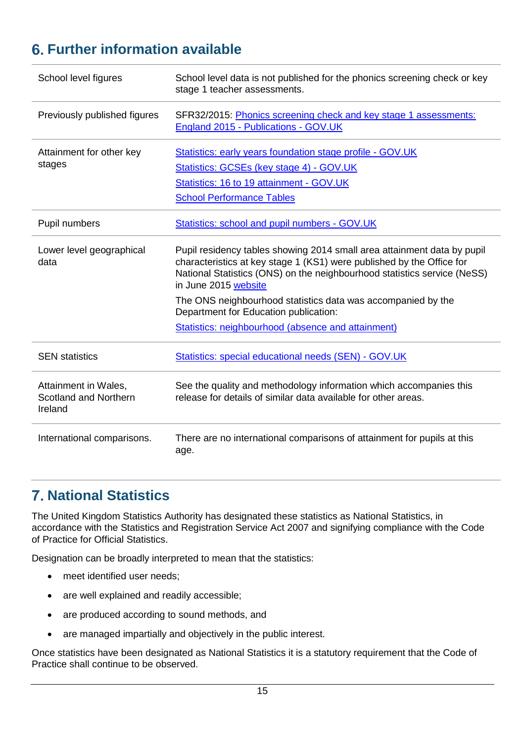# <span id="page-14-0"></span>**Further information available**

| School level figures                                     | School level data is not published for the phonics screening check or key<br>stage 1 teacher assessments.                                                                                                                                                                                                                                                                                                           |
|----------------------------------------------------------|---------------------------------------------------------------------------------------------------------------------------------------------------------------------------------------------------------------------------------------------------------------------------------------------------------------------------------------------------------------------------------------------------------------------|
| Previously published figures                             | SFR32/2015: Phonics screening check and key stage 1 assessments:<br>England 2015 - Publications - GOV.UK                                                                                                                                                                                                                                                                                                            |
| Attainment for other key<br>stages                       | Statistics: early years foundation stage profile - GOV.UK<br>Statistics: GCSEs (key stage 4) - GOV.UK<br>Statistics: 16 to 19 attainment - GOV.UK<br><b>School Performance Tables</b>                                                                                                                                                                                                                               |
| Pupil numbers                                            | Statistics: school and pupil numbers - GOV.UK                                                                                                                                                                                                                                                                                                                                                                       |
| Lower level geographical<br>data                         | Pupil residency tables showing 2014 small area attainment data by pupil<br>characteristics at key stage 1 (KS1) were published by the Office for<br>National Statistics (ONS) on the neighbourhood statistics service (NeSS)<br>in June 2015 website<br>The ONS neighbourhood statistics data was accompanied by the<br>Department for Education publication:<br>Statistics: neighbourhood (absence and attainment) |
| <b>SEN</b> statistics                                    | Statistics: special educational needs (SEN) - GOV.UK                                                                                                                                                                                                                                                                                                                                                                |
| Attainment in Wales,<br>Scotland and Northern<br>Ireland | See the quality and methodology information which accompanies this<br>release for details of similar data available for other areas.                                                                                                                                                                                                                                                                                |
| International comparisons.                               | There are no international comparisons of attainment for pupils at this<br>age.                                                                                                                                                                                                                                                                                                                                     |

# <span id="page-14-1"></span>**National Statistics**

The United Kingdom Statistics Authority has designated these statistics as National Statistics, in accordance with the Statistics and Registration Service Act 2007 and signifying compliance with the Code of Practice for Official Statistics.

Designation can be broadly interpreted to mean that the statistics:

- meet identified user needs;
- are well explained and readily accessible;
- are produced according to sound methods, and
- are managed impartially and objectively in the public interest.

Once statistics have been designated as National Statistics it is a statutory requirement that the Code of Practice shall continue to be observed.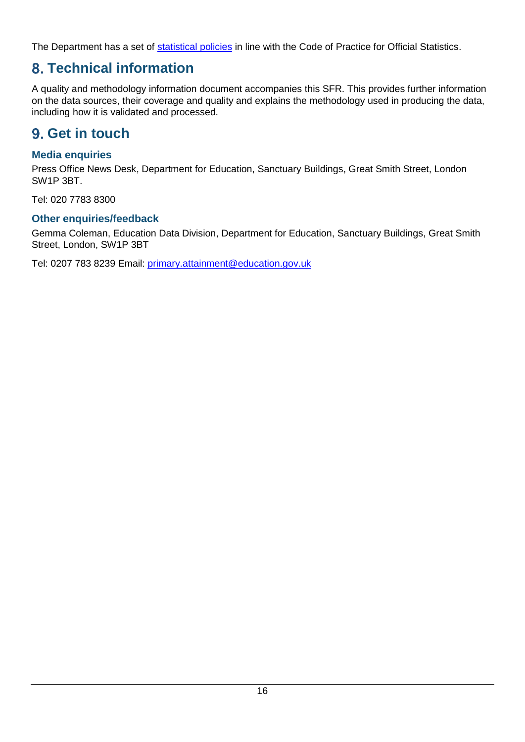The Department has a set of [statistical policies](http://www.gov.uk/government/publications/standards-for-official-statistics-published-by-the-department-for-education) in line with the Code of Practice for Official Statistics.

# <span id="page-15-0"></span>**Technical information**

A quality and methodology information document accompanies this SFR. This provides further information on the data sources, their coverage and quality and explains the methodology used in producing the data, including how it is validated and processed.

# <span id="page-15-1"></span>**Get in touch**

## <span id="page-15-2"></span>**Media enquiries**

Press Office News Desk, Department for Education, Sanctuary Buildings, Great Smith Street, London SW1P 3BT.

Tel: 020 7783 8300

## <span id="page-15-3"></span>**Other enquiries/feedback**

Gemma Coleman, Education Data Division, Department for Education, Sanctuary Buildings, Great Smith Street, London, SW1P 3BT

Tel: 0207 783 8239 Email: [primary.attainment@education.gov.uk](mailto:primary.attainment@education.gov.uk)